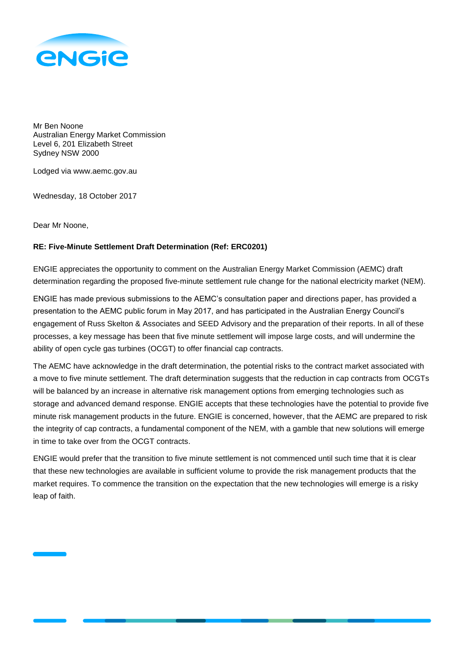

Mr Ben Noone Australian Energy Market Commission Level 6, 201 Elizabeth Street Sydney NSW 2000

Lodged via www.aemc.gov.au

Wednesday, 18 October 2017

Dear Mr Noone,

## **RE: Five-Minute Settlement Draft Determination (Ref: ERC0201)**

ENGIE appreciates the opportunity to comment on the Australian Energy Market Commission (AEMC) draft determination regarding the proposed five-minute settlement rule change for the national electricity market (NEM).

ENGIE has made previous submissions to the AEMC's consultation paper and directions paper, has provided a presentation to the AEMC public forum in May 2017, and has participated in the Australian Energy Council's engagement of Russ Skelton & Associates and SEED Advisory and the preparation of their reports. In all of these processes, a key message has been that five minute settlement will impose large costs, and will undermine the ability of open cycle gas turbines (OCGT) to offer financial cap contracts.

The AEMC have acknowledge in the draft determination, the potential risks to the contract market associated with a move to five minute settlement. The draft determination suggests that the reduction in cap contracts from OCGTs will be balanced by an increase in alternative risk management options from emerging technologies such as storage and advanced demand response. ENGIE accepts that these technologies have the potential to provide five minute risk management products in the future. ENGIE is concerned, however, that the AEMC are prepared to risk the integrity of cap contracts, a fundamental component of the NEM, with a gamble that new solutions will emerge in time to take over from the OCGT contracts.

ENGIE would prefer that the transition to five minute settlement is not commenced until such time that it is clear that these new technologies are available in sufficient volume to provide the risk management products that the market requires. To commence the transition on the expectation that the new technologies will emerge is a risky leap of faith.